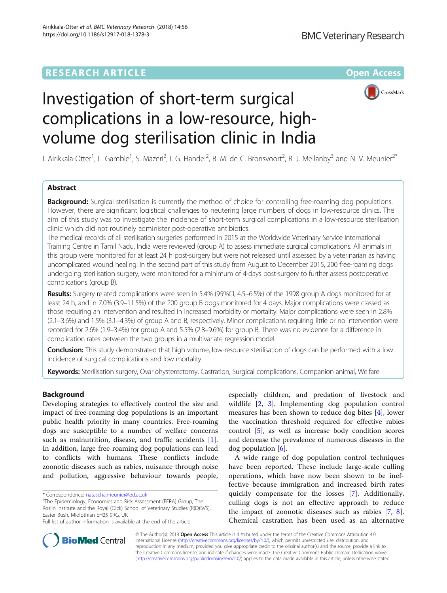# **RESEARCH ARTICLE External Structure Community Community Community Community Community Community Community Community**

CrossMark



I. Airikkala-Otter<sup>1</sup>, L. Gamble<sup>1</sup>, S. Mazeri<sup>2</sup>, I. G. Handel<sup>2</sup>, B. M. de C. Bronsvoort<sup>2</sup>, R. J. Mellanby<sup>3</sup> and N. V. Meunier<sup>2\*</sup>

## Abstract

**Background:** Surgical sterilisation is currently the method of choice for controlling free-roaming dog populations. However, there are significant logistical challenges to neutering large numbers of dogs in low-resource clinics. The aim of this study was to investigate the incidence of short-term surgical complications in a low-resource sterilisation clinic which did not routinely administer post-operative antibiotics.

The medical records of all sterilisation surgeries performed in 2015 at the Worldwide Veterinary Service International Training Centre in Tamil Nadu, India were reviewed (group A) to assess immediate surgical complications. All animals in this group were monitored for at least 24 h post-surgery but were not released until assessed by a veterinarian as having uncomplicated wound healing. In the second part of this study from August to December 2015, 200 free-roaming dogs undergoing sterilisation surgery, were monitored for a minimum of 4-days post-surgery to further assess postoperative complications (group B).

Results: Surgery related complications were seen in 5.4% (95%CI, 4.5–6.5%) of the 1998 group A dogs monitored for at least 24 h, and in 7.0% (3.9–11.5%) of the 200 group B dogs monitored for 4 days. Major complications were classed as those requiring an intervention and resulted in increased morbidity or mortality. Major complications were seen in 2.8% (2.1–3.6%) and 1.5% (3.1–4.3%) of group A and B, respectively. Minor complications requiring little or no intervention were recorded for 2.6% (1.9–3.4%) for group A and 5.5% (2.8–9.6%) for group B. There was no evidence for a difference in complication rates between the two groups in a multivariate regression model.

**Conclusion:** This study demonstrated that high volume, low-resource sterilisation of dogs can be performed with a low incidence of surgical complications and low mortality.

Keywords: Sterilisation surgery, Ovariohysterectomy, Castration, Surgical complications, Companion animal, Welfare

## Background

Developing strategies to effectively control the size and impact of free-roaming dog populations is an important public health priority in many countries. Free-roaming dogs are susceptible to a number of welfare concerns such as malnutrition, disease, and traffic accidents [\[1](#page-7-0)]. In addition, large free-roaming dog populations can lead to conflicts with humans. These conflicts include zoonotic diseases such as rabies, nuisance through noise and pollution, aggressive behaviour towards people,

The Epidemiology, Economics and Risk Assessment (EERA) Group, The Roslin Institute and the Royal (Dick) School of Veterinary Studies (R(D)SVS), Easter Bush, Midlothian EH25 9RG, UK

especially children, and predation of livestock and wildlife [[2,](#page-7-0) [3](#page-7-0)]. Implementing dog population control measures has been shown to reduce dog bites [\[4](#page-7-0)], lower the vaccination threshold required for effective rabies control [\[5](#page-7-0)], as well as increase body condition scores and decrease the prevalence of numerous diseases in the dog population [[6\]](#page-7-0).

A wide range of dog population control techniques have been reported. These include large-scale culling operations, which have now been shown to be ineffective because immigration and increased birth rates quickly compensate for the losses [\[7](#page-7-0)]. Additionally, culling dogs is not an effective approach to reduce the impact of zoonotic diseases such as rabies [\[7](#page-7-0), [8](#page-7-0)]. Chemical castration has been used as an alternative



© The Author(s). 2018 Open Access This article is distributed under the terms of the Creative Commons Attribution 4.0 International License [\(http://creativecommons.org/licenses/by/4.0/](http://creativecommons.org/licenses/by/4.0/)), which permits unrestricted use, distribution, and reproduction in any medium, provided you give appropriate credit to the original author(s) and the source, provide a link to the Creative Commons license, and indicate if changes were made. The Creative Commons Public Domain Dedication waiver [\(http://creativecommons.org/publicdomain/zero/1.0/](http://creativecommons.org/publicdomain/zero/1.0/)) applies to the data made available in this article, unless otherwise stated.

<sup>\*</sup> Correspondence: [natascha.meunier@ed.ac.uk](mailto:natascha.meunier@ed.ac.uk) <sup>2</sup>

Full list of author information is available at the end of the article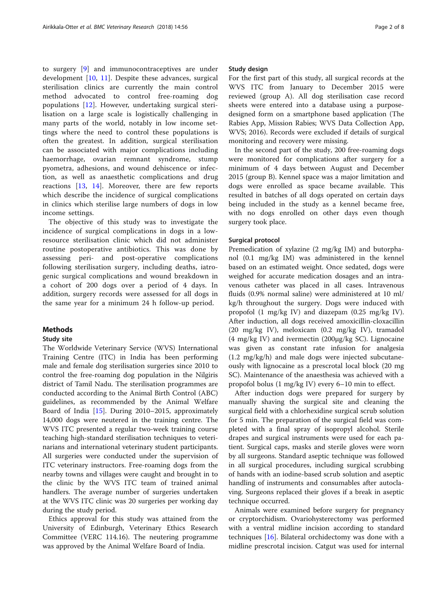to surgery [[9\]](#page-7-0) and immunocontraceptives are under development [[10,](#page-7-0) [11](#page-7-0)]. Despite these advances, surgical sterilisation clinics are currently the main control method advocated to control free-roaming dog populations [\[12\]](#page-7-0). However, undertaking surgical sterilisation on a large scale is logistically challenging in many parts of the world, notably in low income settings where the need to control these populations is often the greatest. In addition, surgical sterilisation can be associated with major complications including haemorrhage, ovarian remnant syndrome, stump pyometra, adhesions, and wound dehiscence or infection, as well as anaesthetic complications and drug reactions [[13](#page-7-0), [14\]](#page-7-0). Moreover, there are few reports which describe the incidence of surgical complications in clinics which sterilise large numbers of dogs in low income settings.

The objective of this study was to investigate the incidence of surgical complications in dogs in a lowresource sterilisation clinic which did not administer routine postoperative antibiotics. This was done by assessing peri- and post-operative complications following sterilisation surgery, including deaths, iatrogenic surgical complications and wound breakdown in a cohort of 200 dogs over a period of 4 days. In addition, surgery records were assessed for all dogs in the same year for a minimum 24 h follow-up period.

### Methods

#### Study site

The Worldwide Veterinary Service (WVS) International Training Centre (ITC) in India has been performing male and female dog sterilisation surgeries since 2010 to control the free-roaming dog population in the Nilgiris district of Tamil Nadu. The sterilisation programmes are conducted according to the Animal Birth Control (ABC) guidelines, as recommended by the Animal Welfare Board of India [\[15\]](#page-7-0). During 2010–2015, approximately 14,000 dogs were neutered in the training centre. The WVS ITC presented a regular two-week training course teaching high-standard sterilisation techniques to veterinarians and international veterinary student participants. All surgeries were conducted under the supervision of ITC veterinary instructors. Free-roaming dogs from the nearby towns and villages were caught and brought in to the clinic by the WVS ITC team of trained animal handlers. The average number of surgeries undertaken at the WVS ITC clinic was 20 surgeries per working day during the study period.

Ethics approval for this study was attained from the University of Edinburgh, Veterinary Ethics Research Committee (VERC 114.16). The neutering programme was approved by the Animal Welfare Board of India.

### Study design

For the first part of this study, all surgical records at the WVS ITC from January to December 2015 were reviewed (group A). All dog sterilisation case record sheets were entered into a database using a purposedesigned form on a smartphone based application (The Rabies App, Mission Rabies; WVS Data Collection App, WVS; 2016). Records were excluded if details of surgical monitoring and recovery were missing.

In the second part of the study, 200 free-roaming dogs were monitored for complications after surgery for a minimum of 4 days between August and December 2015 (group B). Kennel space was a major limitation and dogs were enrolled as space became available. This resulted in batches of all dogs operated on certain days being included in the study as a kennel became free, with no dogs enrolled on other days even though surgery took place.

## Surgical protocol

Premedication of xylazine (2 mg/kg IM) and butorphanol (0.1 mg/kg IM) was administered in the kennel based on an estimated weight. Once sedated, dogs were weighed for accurate medication dosages and an intravenous catheter was placed in all cases. Intravenous fluids (0.9% normal saline) were administered at 10 ml/ kg/h throughout the surgery. Dogs were induced with propofol (1 mg/kg IV) and diazepam (0.25 mg/kg IV). After induction, all dogs received amoxicillin-cloxacillin (20 mg/kg IV), meloxicam (0.2 mg/kg IV), tramadol (4 mg/kg IV) and ivermectin (200μg/kg SC). Lignocaine was given as constant rate infusion for analgesia (1.2 mg/kg/h) and male dogs were injected subcutaneously with lignocaine as a prescrotal local block (20 mg SC). Maintenance of the anaesthesia was achieved with a propofol bolus (1 mg/kg IV) every 6–10 min to effect.

After induction dogs were prepared for surgery by manually shaving the surgical site and cleaning the surgical field with a chlorhexidine surgical scrub solution for 5 min. The preparation of the surgical field was completed with a final spray of isopropyl alcohol. Sterile drapes and surgical instruments were used for each patient. Surgical caps, masks and sterile gloves were worn by all surgeons. Standard aseptic technique was followed in all surgical procedures, including surgical scrubbing of hands with an iodine-based scrub solution and aseptic handling of instruments and consumables after autoclaving. Surgeons replaced their gloves if a break in aseptic technique occurred.

Animals were examined before surgery for pregnancy or cryptorchidism. Ovariohysterectomy was performed with a ventral midline incision according to standard techniques [\[16](#page-7-0)]. Bilateral orchidectomy was done with a midline prescrotal incision. Catgut was used for internal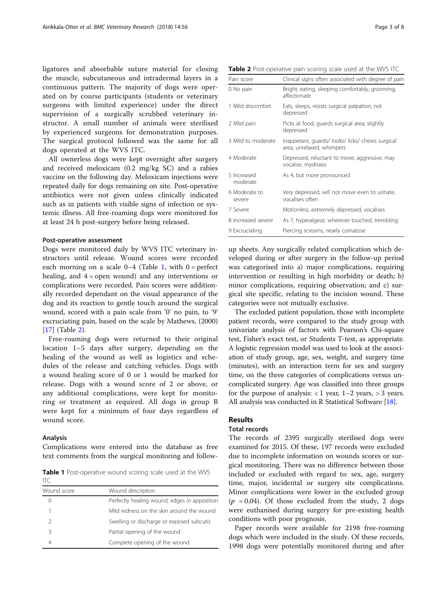ligatures and absorbable suture material for closing the muscle, subcutaneous and intradermal layers in a continuous pattern. The majority of dogs were operated on by course participants (students or veterinary surgeons with limited experience) under the direct supervision of a surgically scrubbed veterinary instructor. A small number of animals were sterilised by experienced surgeons for demonstration purposes. The surgical protocol followed was the same for all dogs operated at the WVS ITC.

All ownerless dogs were kept overnight after surgery and received meloxicam (0.2 mg/kg SC) and a rabies vaccine on the following day. Meloxicam injections were repeated daily for dogs remaining on site. Post-operative antibiotics were not given unless clinically indicated such as in patients with visible signs of infection or systemic illness. All free-roaming dogs were monitored for at least 24 h post-surgery before being released.

#### Post-operative assessment

Dogs were monitored daily by WVS ITC veterinary instructors until release. Wound scores were recorded each morning on a scale  $0-4$  (Table 1, with  $0 =$  perfect healing, and  $4 =$  open wound) and any interventions or complications were recorded. Pain scores were additionally recorded dependant on the visual appearance of the dog and its reaction to gentle touch around the surgical wound, scored with a pain scale from '0' no pain, to '9' excruciating pain, based on the scale by Mathews, (2000) [[17\]](#page-7-0) (Table 2).

Free-roaming dogs were returned to their original location 1–5 days after surgery, depending on the healing of the wound as well as logistics and schedules of the release and catching vehicles. Dogs with a wound healing score of 0 or 1 would be marked for release. Dogs with a wound score of 2 or above, or any additional complications, were kept for monitoring or treatment as required. All dogs in group B were kept for a minimum of four days regardless of wound score.

### Analysis

Complications were entered into the database as free text comments from the surgical monitoring and follow-

Table 1 Post-operative wound scoring scale used at the WVS  $ITC$ 

| Wound score | Wound description                            |
|-------------|----------------------------------------------|
|             | Perfectly healing wound, edges in apposition |
|             | Mild redness on the skin around the wound    |
|             | Swelling or discharge or exposed subcutis    |
| ₹           | Partial opening of the wound                 |
|             | Complete opening of the wound                |

Table 2 Post-operative pain scoring scale used at the WVS ITC

| Pain score              | Clinical signs often associated with degree of pain                        |
|-------------------------|----------------------------------------------------------------------------|
| 0 No pain               | Bright, eating, sleeping comfortably, grooming,<br>affectionate            |
| 1 Mild discomfort       | Eats, sleeps, resists surgical palpation, not<br>depressed                 |
| 2 Mild pain             | Picks at food, quards surgical area, slightly<br>depressed                 |
| 3 Mild to moderate      | Inappetant, quards/looks/licks/chews surgical<br>area, unrelaxed, whimpers |
| 4 Moderate              | Depressed, reluctant to move, aggressive, may<br>vocalise, mydriasis       |
| 5 Increased<br>moderate | As 4, but more pronounced                                                  |
| 6 Moderate to<br>severe | Very depressed, will not move even to urinate,<br>vocalises often          |
| 7 Severe                | Motionless, extremely depressed, vocalises                                 |
| 8 Increased severe      | As 7, hyperalgesic wherever touched, trembling                             |
| 9 Excruciating          | Piercing screams, nearly comatose                                          |

up sheets. Any surgically related complication which developed during or after surgery in the follow-up period was categorised into a) major complications, requiring intervention or resulting in high morbidity or death; b) minor complications, requiring observation; and c) surgical site specific, relating to the incision wound. These categories were not mutually exclusive.

The excluded patient population, those with incomplete patient records, were compared to the study group with univariate analysis of factors with Pearson's Chi-square test, Fisher's exact test, or Students T-test, as appropriate. A logistic regression model was used to look at the association of study group, age, sex, weight, and surgery time (minutes), with an interaction term for sex and surgery time, on the three categories of complications versus uncomplicated surgery. Age was classified into three groups for the purpose of analysis:  $< 1$  year,  $1-2$  years,  $> 3$  years. All analysis was conducted in R Statistical Software [[18](#page-7-0)].

## Results

## Total records

The records of 2395 surgically sterilised dogs were examined for 2015. Of these, 197 records were excluded due to incomplete information on wounds scores or surgical monitoring. There was no difference between those included or excluded with regard to: sex, age, surgery time, major, incidental or surgery site complications. Minor complications were lower in the excluded group  $(p = 0.04)$ . Of those excluded from the study, 2 dogs were euthanised during surgery for pre-existing health conditions with poor prognosis.

Paper records were available for 2198 free-roaming dogs which were included in the study. Of these records, 1998 dogs were potentially monitored during and after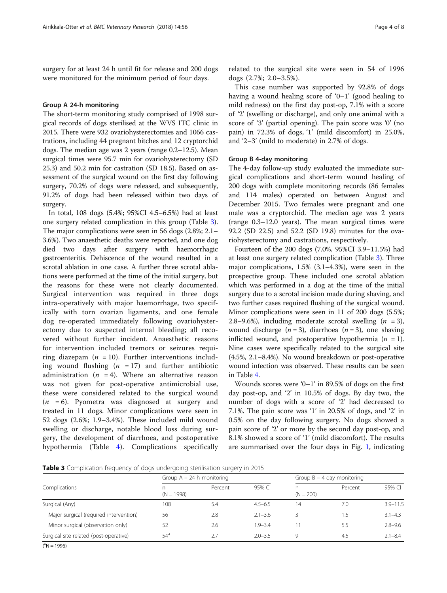surgery for at least 24 h until fit for release and 200 dogs were monitored for the minimum period of four days.

## Group A 24-h monitoring

The short-term monitoring study comprised of 1998 surgical records of dogs sterilised at the WVS ITC clinic in 2015. There were 932 ovariohysterectomies and 1066 castrations, including 44 pregnant bitches and 12 cryptorchid dogs. The median age was 2 years (range 0.2–12.5). Mean surgical times were 95.7 min for ovariohysterectomy (SD 25.3) and 50.2 min for castration (SD 18.5). Based on assessment of the surgical wound on the first day following surgery, 70.2% of dogs were released, and subsequently, 91.2% of dogs had been released within two days of surgery.

In total, 108 dogs (5.4%; 95%CI 4.5–6.5%) had at least one surgery related complication in this group (Table 3). The major complications were seen in 56 dogs (2.8%; 2.1– 3.6%). Two anaesthetic deaths were reported, and one dog died two days after surgery with haemorrhagic gastroenteritis. Dehiscence of the wound resulted in a scrotal ablation in one case. A further three scrotal ablations were performed at the time of the initial surgery, but the reasons for these were not clearly documented. Surgical intervention was required in three dogs intra-operatively with major haemorrhage, two specifically with torn ovarian ligaments, and one female dog re-operated immediately following ovariohysterectomy due to suspected internal bleeding; all recovered without further incident. Anaesthetic reasons for intervention included tremors or seizures requiring diazepam ( $n = 10$ ). Further interventions including wound flushing  $(n = 17)$  and further antibiotic administration ( $n = 4$ ). Where an alternative reason was not given for post-operative antimicrobial use, these were considered related to the surgical wound  $(n = 6)$ . Pyometra was diagnosed at surgery and treated in 11 dogs. Minor complications were seen in 52 dogs (2.6%; 1.9–3.4%). These included mild wound swelling or discharge, notable blood loss during surgery, the development of diarrhoea, and postoperative hypothermia (Table [4\)](#page-4-0). Complications specifically related to the surgical site were seen in 54 of 1996 dogs (2.7%; 2.0–3.5%).

This case number was supported by 92.8% of dogs having a wound healing score of '0–1' (good healing to mild redness) on the first day post-op, 7.1% with a score of '2' (swelling or discharge), and only one animal with a score of '3' (partial opening). The pain score was '0' (no pain) in 72.3% of dogs, '1' (mild discomfort) in 25.0%, and '2–3' (mild to moderate) in 2.7% of dogs.

## Group B 4-day monitoring

The 4-day follow-up study evaluated the immediate surgical complications and short-term wound healing of 200 dogs with complete monitoring records (86 females and 114 males) operated on between August and December 2015. Two females were pregnant and one male was a cryptorchid. The median age was 2 years (range 0.3–12.0 years). The mean surgical times were 92.2 (SD 22.5) and 52.2 (SD 19.8) minutes for the ovariohysterectomy and castrations, respectively.

Fourteen of the 200 dogs (7.0%, 95%CI 3.9–11.5%) had at least one surgery related complication (Table 3). Three major complications, 1.5% (3.1–4.3%), were seen in the prospective group. These included one scrotal ablation which was performed in a dog at the time of the initial surgery due to a scrotal incision made during shaving, and two further cases required flushing of the surgical wound. Minor complications were seen in 11 of 200 dogs (5.5%; 2.8–9.6%), including moderate scrotal swelling  $(n = 3)$ , wound discharge  $(n = 3)$ , diarrhoea  $(n = 3)$ , one shaving inflicted wound, and postoperative hypothermia  $(n = 1)$ . Nine cases were specifically related to the surgical site (4.5%, 2.1–8.4%). No wound breakdown or post-operative wound infection was observed. These results can be seen in Table [4](#page-4-0).

Wounds scores were '0–1' in 89.5% of dogs on the first day post-op, and '2' in 10.5% of dogs. By day two, the number of dogs with a score of '2' had decreased to 7.1%. The pain score was '1' in 20.5% of dogs, and '2' in 0.5% on the day following surgery. No dogs showed a pain score of '2' or more by the second day post-op, and 8.1% showed a score of '1' (mild discomfort). The results are summarised over the four days in Fig. [1,](#page-4-0) indicating

Table 3 Complication frequency of dogs undergoing sterilisation surgery in 2015

| Complications                          | Group $A - 24$ h monitoring |         |             | Group $B - 4$ day monitoring |         |              |
|----------------------------------------|-----------------------------|---------|-------------|------------------------------|---------|--------------|
|                                        | $(N = 1998)$                | Percent | 95% CL      | $(N = 200)$                  | Percent | 95% CI       |
| Surgical (Any)                         | 108                         | 5.4     | $4.5 - 6.5$ | 14                           | 7.0     | $3.9 - 11.5$ |
| Major surgical (required intervention) | 56                          | 2.8     | $2.1 - 3.6$ |                              | 1.5     | $3.1 - 4.3$  |
| Minor surgical (observation only)      | 52                          | 2.6     | $1.9 - 3.4$ |                              | 5.5     | $2.8 - 9.6$  |
| Surgical site related (post-operative) | $54^{\circ}$                | 2.7     | $2.0 - 3.5$ | 9                            | 4.5     | $2.1 - 8.4$  |

 $(^aN = 1996)$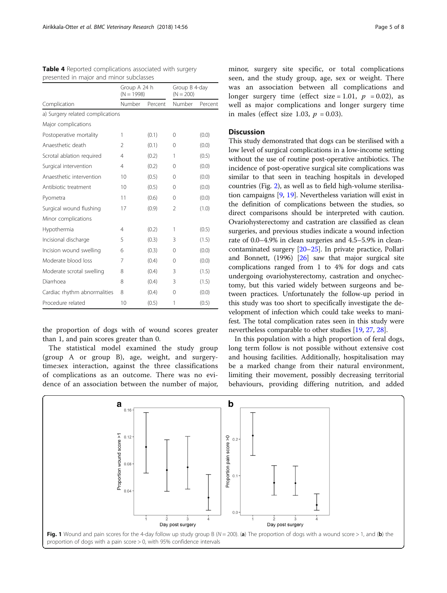<span id="page-4-0"></span>Table 4 Reported complications associated with surgery

| presented in major and minor subclasses |                              |         |                              |         |  |  |  |  |  |
|-----------------------------------------|------------------------------|---------|------------------------------|---------|--|--|--|--|--|
|                                         | Group A 24 h<br>$(N = 1998)$ |         | Group B 4-day<br>$(N = 200)$ |         |  |  |  |  |  |
| Complication                            | Number                       | Percent | Number                       | Percent |  |  |  |  |  |
| a) Surgery related complications        |                              |         |                              |         |  |  |  |  |  |
| Major complications                     |                              |         |                              |         |  |  |  |  |  |
| Postoperative mortality                 | 1                            | (0.1)   | $\Omega$                     | (0.0)   |  |  |  |  |  |
| Anaesthetic death                       | $\mathfrak{D}$               | (0.1)   | 0                            | (0.0)   |  |  |  |  |  |
| Scrotal ablation required               | 4                            | (0.2)   | 1                            | (0.5)   |  |  |  |  |  |
| Surgical intervention                   | 4                            | (0.2)   | 0                            | (0.0)   |  |  |  |  |  |
| Anaesthetic intervention                | 10                           | (0.5)   | 0                            | (0.0)   |  |  |  |  |  |
| Antibiotic treatment                    | 10                           | (0.5)   | $\Omega$                     | (0.0)   |  |  |  |  |  |
| Pyometra                                | 11                           | (0.6)   | $\Omega$                     | (0.0)   |  |  |  |  |  |
| Surgical wound flushing                 | 17                           | (0.9)   | $\mathfrak{D}$               | (1.0)   |  |  |  |  |  |
| Minor complications                     |                              |         |                              |         |  |  |  |  |  |
| Hypothermia                             | 4                            | (0.2)   | 1                            | (0.5)   |  |  |  |  |  |
| Incisional discharge                    | 5                            | (0.3)   | 3                            | (1.5)   |  |  |  |  |  |
| Incision wound swelling                 | 6                            | (0.3)   | $\Omega$                     | (0.0)   |  |  |  |  |  |
| Moderate blood loss                     | 7                            | (0.4)   | $\Omega$                     | (0.0)   |  |  |  |  |  |
| Moderate scrotal swelling               | 8                            | (0.4)   | 3                            | (1.5)   |  |  |  |  |  |
| Diarrhoea                               | 8                            | (0.4)   | 3                            | (1.5)   |  |  |  |  |  |
| Cardiac rhythm abnormalities            | 8                            | (0.4)   | 0                            | (0.0)   |  |  |  |  |  |
| Procedure related                       | 10                           | (0.5)   | 1                            | (0.5)   |  |  |  |  |  |

the proportion of dogs with of wound scores greater than 1, and pain scores greater than 0.

The statistical model examined the study group (group A or group B), age, weight, and surgerytime:sex interaction, against the three classifications of complications as an outcome. There was no evidence of an association between the number of major, minor, surgery site specific, or total complications seen, and the study group, age, sex or weight. There was an association between all complications and longer surgery time (effect size = 1.01,  $p = 0.02$ ), as well as major complications and longer surgery time in males (effect size 1.03,  $p = 0.03$ ).

## **Discussion**

This study demonstrated that dogs can be sterilised with a low level of surgical complications in a low-income setting without the use of routine post-operative antibiotics. The incidence of post-operative surgical site complications was similar to that seen in teaching hospitals in developed countries (Fig. [2](#page-5-0)), as well as to field high-volume sterilisation campaigns [\[9,](#page-7-0) [19\]](#page-7-0). Nevertheless variation will exist in the definition of complications between the studies, so direct comparisons should be interpreted with caution. Ovariohysterectomy and castration are classified as clean surgeries, and previous studies indicate a wound infection rate of 0.0–4.9% in clean surgeries and 4.5–5.9% in cleancontaminated surgery [\[20](#page-7-0)–[25](#page-7-0)]. In private practice, Pollari and Bonnett,  $(1996)$   $[26]$  saw that major surgical site complications ranged from 1 to 4% for dogs and cats undergoing ovariohysterectomy, castration and onychectomy, but this varied widely between surgeons and between practices. Unfortunately the follow-up period in this study was too short to specifically investigate the development of infection which could take weeks to manifest. The total complication rates seen in this study were nevertheless comparable to other studies [\[19,](#page-7-0) [27](#page-7-0), [28\]](#page-7-0).

In this population with a high proportion of feral dogs, long term follow is not possible without extensive cost and housing facilities. Additionally, hospitalisation may be a marked change from their natural environment, limiting their movement, possibly decreasing territorial behaviours, providing differing nutrition, and added

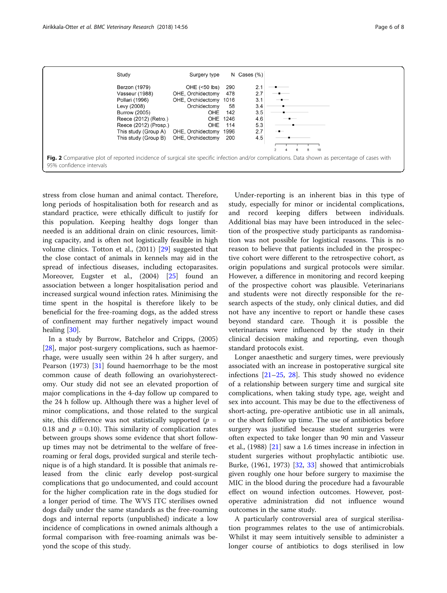<span id="page-5-0"></span>

stress from close human and animal contact. Therefore, long periods of hospitalisation both for research and as standard practice, were ethically difficult to justify for this population. Keeping healthy dogs longer than needed is an additional drain on clinic resources, limiting capacity, and is often not logistically feasible in high volume clinics. Totton et al., (2011) [\[29](#page-7-0)] suggested that the close contact of animals in kennels may aid in the spread of infectious diseases, including ectoparasites. Moreover, Eugster et al., (2004) [[25](#page-7-0)] found an association between a longer hospitalisation period and increased surgical wound infection rates. Minimising the time spent in the hospital is therefore likely to be beneficial for the free-roaming dogs, as the added stress of confinement may further negatively impact wound healing [\[30\]](#page-7-0).

In a study by Burrow, Batchelor and Cripps, (2005) [[28\]](#page-7-0), major post-surgery complications, such as haemorrhage, were usually seen within 24 h after surgery, and Pearson (1973) [[31\]](#page-7-0) found haemorrhage to be the most common cause of death following an ovariohysterectomy. Our study did not see an elevated proportion of major complications in the 4-day follow up compared to the 24 h follow up. Although there was a higher level of minor complications, and those related to the surgical site, this difference was not statistically supported ( $p =$ 0.18 and  $p = 0.10$ ). This similarity of complication rates between groups shows some evidence that short followup times may not be detrimental to the welfare of freeroaming or feral dogs, provided surgical and sterile technique is of a high standard. It is possible that animals released from the clinic early develop post-surgical complications that go undocumented, and could account for the higher complication rate in the dogs studied for a longer period of time. The WVS ITC sterilises owned dogs daily under the same standards as the free-roaming dogs and internal reports (unpublished) indicate a low incidence of complications in owned animals although a formal comparison with free-roaming animals was beyond the scope of this study.

Under-reporting is an inherent bias in this type of study, especially for minor or incidental complications, and record keeping differs between individuals. Additional bias may have been introduced in the selection of the prospective study participants as randomisation was not possible for logistical reasons. This is no reason to believe that patients included in the prospective cohort were different to the retrospective cohort, as origin populations and surgical protocols were similar. However, a difference in monitoring and record keeping of the prospective cohort was plausible. Veterinarians and students were not directly responsible for the research aspects of the study, only clinical duties, and did not have any incentive to report or handle these cases beyond standard care. Though it is possible the veterinarians were influenced by the study in their clinical decision making and reporting, even though standard protocols exist.

Longer anaesthetic and surgery times, were previously associated with an increase in postoperative surgical site infections [\[21](#page-7-0)–[25,](#page-7-0) [28](#page-7-0)]. This study showed no evidence of a relationship between surgery time and surgical site complications, when taking study type, age, weight and sex into account. This may be due to the effectiveness of short-acting, pre-operative antibiotic use in all animals, or the short follow up time. The use of antibiotics before surgery was justified because student surgeries were often expected to take longer than 90 min and Vasseur et al., (1988) [\[21\]](#page-7-0) saw a 1.6 times increase in infection in student surgeries without prophylactic antibiotic use. Burke, (1961, 1973) [[32](#page-7-0), [33](#page-7-0)] showed that antimicrobials given roughly one hour before surgery to maximise the MIC in the blood during the procedure had a favourable effect on wound infection outcomes. However, postoperative administration did not influence wound outcomes in the same study.

A particularly controversial area of surgical sterilisation programmes relates to the use of antimicrobials. Whilst it may seem intuitively sensible to administer a longer course of antibiotics to dogs sterilised in low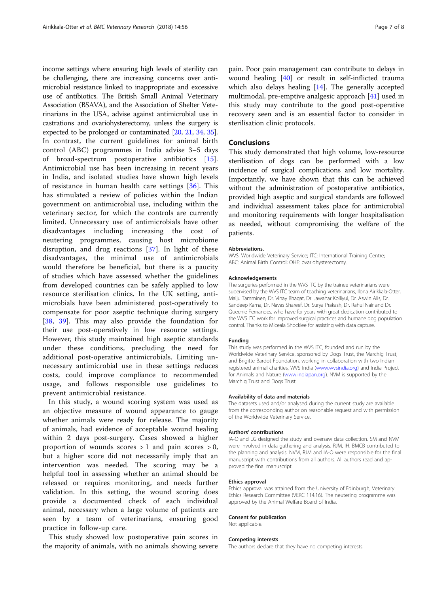income settings where ensuring high levels of sterility can be challenging, there are increasing concerns over antimicrobial resistance linked to inappropriate and excessive use of antibiotics. The British Small Animal Veterinary Association (BSAVA), and the Association of Shelter Veterinarians in the USA, advise against antimicrobial use in castrations and ovariohysterectomy, unless the surgery is expected to be prolonged or contaminated [\[20,](#page-7-0) [21](#page-7-0), [34,](#page-7-0) [35](#page-7-0)]. In contrast, the current guidelines for animal birth control (ABC) programmes in India advise 3–5 days of broad-spectrum postoperative antibiotics [\[15](#page-7-0)]. Antimicrobial use has been increasing in recent years in India, and isolated studies have shown high levels of resistance in human health care settings [\[36](#page-7-0)]. This has stimulated a review of policies within the Indian government on antimicrobial use, including within the veterinary sector, for which the controls are currently limited. Unnecessary use of antimicrobials have other disadvantages including increasing the cost of neutering programmes, causing host microbiome disruption, and drug reactions [[37\]](#page-7-0). In light of these disadvantages, the minimal use of antimicrobials would therefore be beneficial, but there is a paucity of studies which have assessed whether the guidelines from developed countries can be safely applied to low resource sterilisation clinics. In the UK setting, antimicrobials have been administered post-operatively to compensate for poor aseptic technique during surgery [[38,](#page-7-0) [39](#page-7-0)]. This may also provide the foundation for their use post-operatively in low resource settings. However, this study maintained high aseptic standards under these conditions, precluding the need for additional post-operative antimicrobials. Limiting unnecessary antimicrobial use in these settings reduces costs, could improve compliance to recommended usage, and follows responsible use guidelines to prevent antimicrobial resistance.

In this study, a wound scoring system was used as an objective measure of wound appearance to gauge whether animals were ready for release. The majority of animals, had evidence of acceptable wound healing within 2 days post-surgery. Cases showed a higher proportion of wounds scores  $> 1$  and pain scores  $> 0$ , but a higher score did not necessarily imply that an intervention was needed. The scoring may be a helpful tool in assessing whether an animal should be released or requires monitoring, and needs further validation. In this setting, the wound scoring does provide a documented check of each individual animal, necessary when a large volume of patients are seen by a team of veterinarians, ensuring good practice in follow-up care.

This study showed low postoperative pain scores in the majority of animals, with no animals showing severe

pain. Poor pain management can contribute to delays in wound healing [[40\]](#page-7-0) or result in self-inflicted trauma which also delays healing  $[14]$ . The generally accepted multimodal, pre-emptive analgesic approach [[41\]](#page-7-0) used in this study may contribute to the good post-operative recovery seen and is an essential factor to consider in sterilisation clinic protocols.

## Conclusions

This study demonstrated that high volume, low-resource sterilisation of dogs can be performed with a low incidence of surgical complications and low mortality. Importantly, we have shown that this can be achieved without the administration of postoperative antibiotics, provided high aseptic and surgical standards are followed and individual assessment takes place for antimicrobial and monitoring requirements with longer hospitalisation as needed, without compromising the welfare of the patients.

#### Abbreviations.

WVS: Worldwide Veterinary Service; ITC: International Training Centre; ABC: Animal Birth Control; OHE: ovariohysterectomy.

#### Acknowledgements

The surgeries performed in the WVS ITC by the trainee veterinarians were supervised by the WVS ITC team of teaching veterinarians, Ilona Airikkala-Otter, Maiju Tamminen, Dr. Vinay Bhagat, Dr. Jawahar Kolliyul, Dr. Aswin Alis, Dr. Sandeep Karna, Dr. Navas Shareef, Dr. Surya Prakash, Dr. Rahul Nair and Dr. Queenie Fernandes, who have for years with great dedication contributed to the WVS ITC work for improved surgical practices and humane dog population control. Thanks to Miceala Shocklee for assisting with data capture.

#### Funding

This study was performed in the WVS ITC, founded and run by the Worldwide Veterinary Service, sponsored by Dogs Trust, the Marchig Trust, and Brigitte Bardot Foundation, working in collaboration with two Indian registered animal charities, WVS India [\(www.wvsindia.org](http://www.wvsindia.org/)) and India Project for Animals and Nature [\(www.indiapan.org\)](http://www.indiapan.org). NVM is supported by the Marchig Trust and Dogs Trust.

#### Availability of data and materials

The datasets used and/or analysed during the current study are available from the corresponding author on reasonable request and with permission of the Worldwide Veterinary Service.

#### Authors' contributions

IA-O and LG designed the study and oversaw data collection. SM and NVM were involved in data gathering and analysis. RJM, IH, BMCB contributed to the planning and analysis. NVM, RJM and IA-O were responsible for the final manuscript with contributions from all authors. All authors read and approved the final manuscript.

#### Ethics approval

Ethics approval was attained from the University of Edinburgh, Veterinary Ethics Research Committee (VERC 114.16). The neutering programme was approved by the Animal Welfare Board of India.

#### Consent for publication

Not applicable.

#### Competing interests

The authors declare that they have no competing interests.